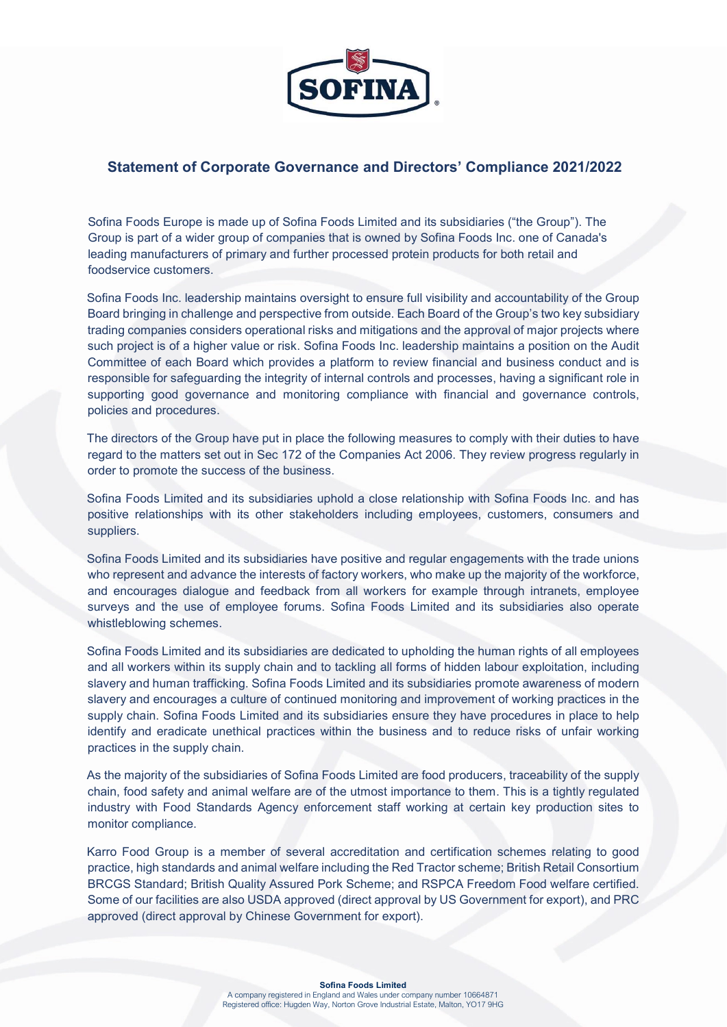

## Statement of Corporate Governance and Directors' Compliance 2021/2022

Sofina Foods Europe is made up of Sofina Foods Limited and its subsidiaries ("the Group"). The Group is part of a wider group of companies that is owned by Sofina Foods Inc. one of Canada's leading manufacturers of primary and further processed protein products for both retail and foodservice customers.

Sofina Foods Inc. leadership maintains oversight to ensure full visibility and accountability of the Group Board bringing in challenge and perspective from outside. Each Board of the Group's two key subsidiary trading companies considers operational risks and mitigations and the approval of major projects where such project is of a higher value or risk. Sofina Foods Inc. leadership maintains a position on the Audit Committee of each Board which provides a platform to review financial and business conduct and is responsible for safeguarding the integrity of internal controls and processes, having a significant role in supporting good governance and monitoring compliance with financial and governance controls, policies and procedures.

The directors of the Group have put in place the following measures to comply with their duties to have regard to the matters set out in Sec 172 of the Companies Act 2006. They review progress regularly in order to promote the success of the business.

Sofina Foods Limited and its subsidiaries uphold a close relationship with Sofina Foods Inc. and has positive relationships with its other stakeholders including employees, customers, consumers and suppliers.

Sofina Foods Limited and its subsidiaries have positive and regular engagements with the trade unions who represent and advance the interests of factory workers, who make up the majority of the workforce, and encourages dialogue and feedback from all workers for example through intranets, employee surveys and the use of employee forums. Sofina Foods Limited and its subsidiaries also operate whistleblowing schemes.

Sofina Foods Limited and its subsidiaries are dedicated to upholding the human rights of all employees and all workers within its supply chain and to tackling all forms of hidden labour exploitation, including slavery and human trafficking. Sofina Foods Limited and its subsidiaries promote awareness of modern slavery and encourages a culture of continued monitoring and improvement of working practices in the supply chain. Sofina Foods Limited and its subsidiaries ensure they have procedures in place to help identify and eradicate unethical practices within the business and to reduce risks of unfair working practices in the supply chain.

As the majority of the subsidiaries of Sofina Foods Limited are food producers, traceability of the supply chain, food safety and animal welfare are of the utmost importance to them. This is a tightly regulated industry with Food Standards Agency enforcement staff working at certain key production sites to monitor compliance.

Karro Food Group is a member of several accreditation and certification schemes relating to good practice, high standards and animal welfare including the Red Tractor scheme; British Retail Consortium BRCGS Standard; British Quality Assured Pork Scheme; and RSPCA Freedom Food welfare certified. Some of our facilities are also USDA approved (direct approval by US Government for export), and PRC approved (direct approval by Chinese Government for export).

## Sofina Foods Limited

A company registered in England and Wales under company number 10664871 Registered office: Hugden Way, Norton Grove Industrial Estate, Malton, YO17 9HG